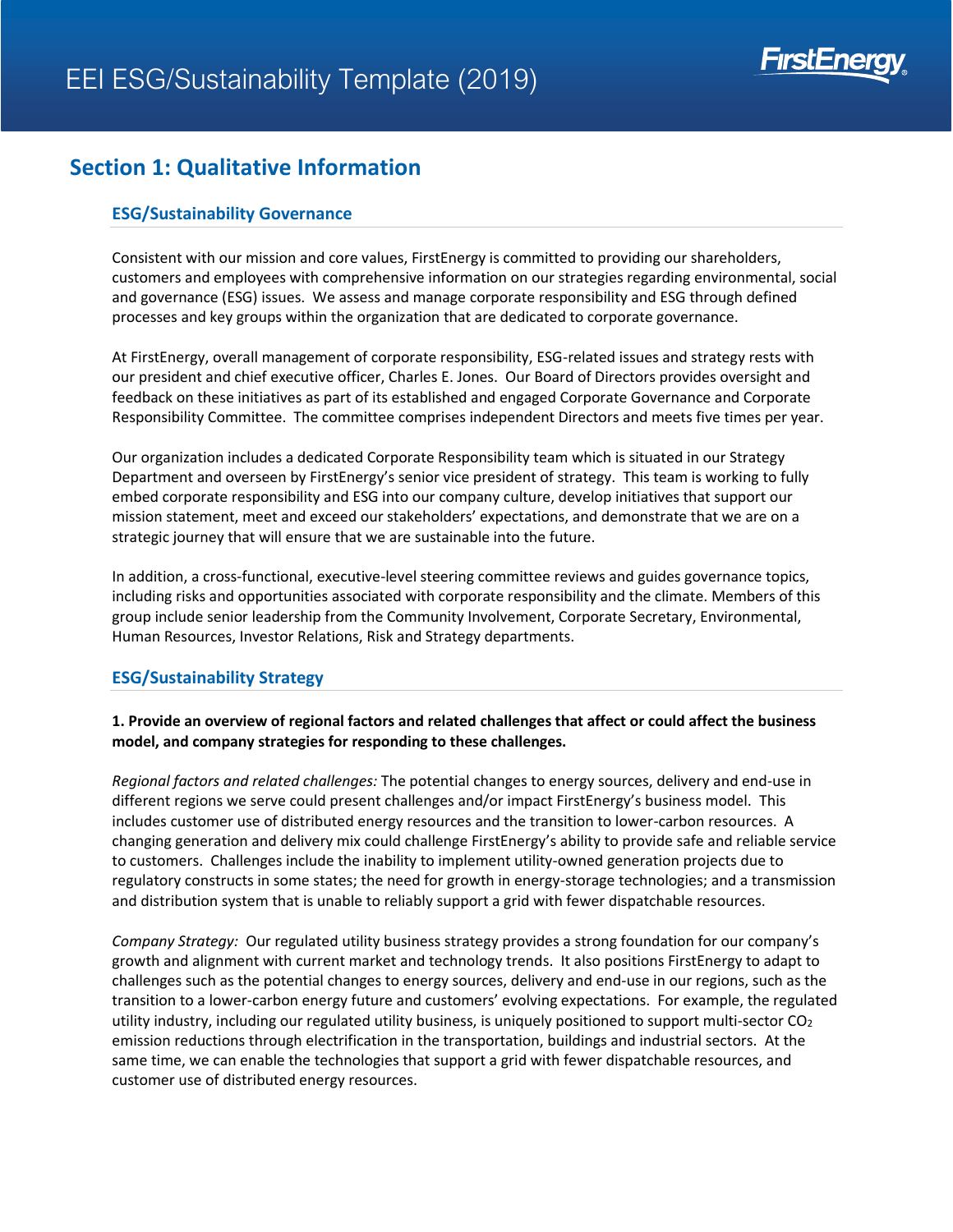

### **Section 1: Qualitative Information**

### **ESG/Sustainability Governance**

Consistent with our mission and core values, FirstEnergy is committed to providing our shareholders, customers and employees with comprehensive information on our strategies regarding environmental, social and governance (ESG) issues. We assess and manage corporate responsibility and ESG through defined processes and key groups within the organization that are dedicated to corporate governance.

At FirstEnergy, overall management of corporate responsibility, ESG-related issues and strategy rests with our president and chief executive officer, Charles E. Jones. Our Board of Directors provides oversight and feedback on these initiatives as part of its established and engaged Corporate Governance and Corporate Responsibility Committee. The committee comprises independent Directors and meets five times per year.

Our organization includes a dedicated Corporate Responsibility team which is situated in our Strategy Department and overseen by FirstEnergy's senior vice president of strategy. This team is working to fully embed corporate responsibility and ESG into our company culture, develop initiatives that support our mission statement, meet and exceed our stakeholders' expectations, and demonstrate that we are on a strategic journey that will ensure that we are sustainable into the future.

In addition, a cross-functional, executive-level steering committee reviews and guides governance topics, including risks and opportunities associated with corporate responsibility and the climate. Members of this group include senior leadership from the Community Involvement, Corporate Secretary, Environmental, Human Resources, Investor Relations, Risk and Strategy departments.

#### **ESG/Sustainability Strategy**

### **1. Provide an overview of regional factors and related challenges that affect or could affect the business model, and company strategies for responding to these challenges.**

*Regional factors and related challenges:* The potential changes to energy sources, delivery and end-use in different regions we serve could present challenges and/or impact FirstEnergy's business model. This includes customer use of distributed energy resources and the transition to lower-carbon resources. A changing generation and delivery mix could challenge FirstEnergy's ability to provide safe and reliable service to customers. Challenges include the inability to implement utility-owned generation projects due to regulatory constructs in some states; the need for growth in energy-storage technologies; and a transmission and distribution system that is unable to reliably support a grid with fewer dispatchable resources.

*Company Strategy:* Our regulated utility business strategy provides a strong foundation for our company's growth and alignment with current market and technology trends. It also positions FirstEnergy to adapt to challenges such as the potential changes to energy sources, delivery and end-use in our regions, such as the transition to a lower-carbon energy future and customers' evolving expectations. For example, the regulated utility industry, including our regulated utility business, is uniquely positioned to support multi-sector  $CO<sub>2</sub>$ emission reductions through electrification in the transportation, buildings and industrial sectors. At the same time, we can enable the technologies that support a grid with fewer dispatchable resources, and customer use of distributed energy resources.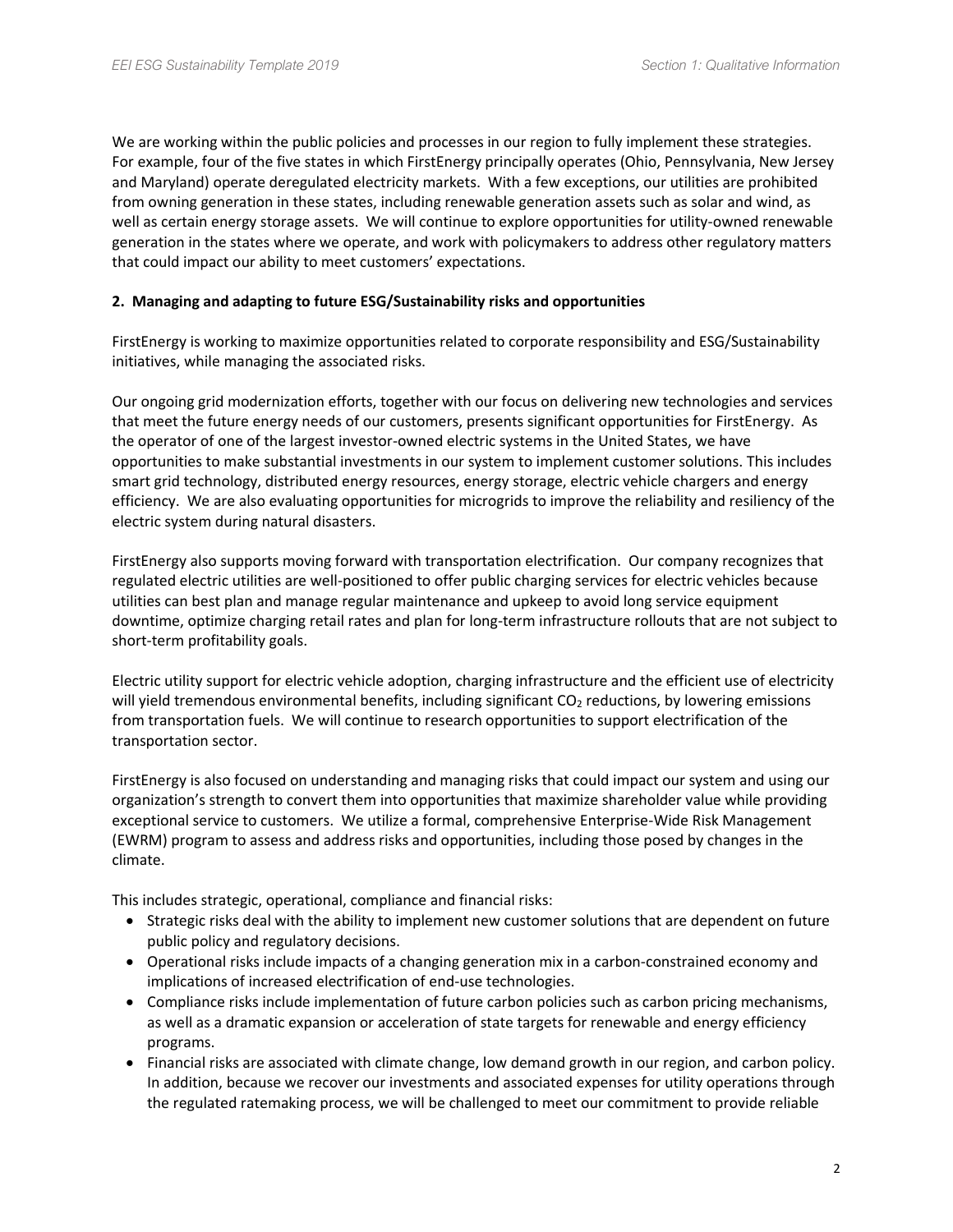We are working within the public policies and processes in our region to fully implement these strategies. For example, four of the five states in which FirstEnergy principally operates (Ohio, Pennsylvania, New Jersey and Maryland) operate deregulated electricity markets. With a few exceptions, our utilities are prohibited from owning generation in these states, including renewable generation assets such as solar and wind, as well as certain energy storage assets. We will continue to explore opportunities for utility-owned renewable generation in the states where we operate, and work with policymakers to address other regulatory matters that could impact our ability to meet customers' expectations.

#### **2. Managing and adapting to future ESG/Sustainability risks and opportunities**

FirstEnergy is working to maximize opportunities related to corporate responsibility and ESG/Sustainability initiatives, while managing the associated risks.

Our ongoing grid modernization efforts, together with our focus on delivering new technologies and services that meet the future energy needs of our customers, presents significant opportunities for FirstEnergy. As the operator of one of the largest investor-owned electric systems in the United States, we have opportunities to make substantial investments in our system to implement customer solutions. This includes smart grid technology, distributed energy resources, energy storage, electric vehicle chargers and energy efficiency. We are also evaluating opportunities for microgrids to improve the reliability and resiliency of the electric system during natural disasters.

FirstEnergy also supports moving forward with transportation electrification. Our company recognizes that regulated electric utilities are well-positioned to offer public charging services for electric vehicles because utilities can best plan and manage regular maintenance and upkeep to avoid long service equipment downtime, optimize charging retail rates and plan for long-term infrastructure rollouts that are not subject to short-term profitability goals.

Electric utility support for electric vehicle adoption, charging infrastructure and the efficient use of electricity will yield tremendous environmental benefits, including significant CO<sub>2</sub> reductions, by lowering emissions from transportation fuels. We will continue to research opportunities to support electrification of the transportation sector.

FirstEnergy is also focused on understanding and managing risks that could impact our system and using our organization's strength to convert them into opportunities that maximize shareholder value while providing exceptional service to customers. We utilize a formal, comprehensive Enterprise-Wide Risk Management (EWRM) program to assess and address risks and opportunities, including those posed by changes in the climate.

This includes strategic, operational, compliance and financial risks:

- Strategic risks deal with the ability to implement new customer solutions that are dependent on future public policy and regulatory decisions.
- Operational risks include impacts of a changing generation mix in a carbon-constrained economy and implications of increased electrification of end-use technologies.
- Compliance risks include implementation of future carbon policies such as carbon pricing mechanisms, as well as a dramatic expansion or acceleration of state targets for renewable and energy efficiency programs.
- Financial risks are associated with climate change, low demand growth in our region, and carbon policy. In addition, because we recover our investments and associated expenses for utility operations through the regulated ratemaking process, we will be challenged to meet our commitment to provide reliable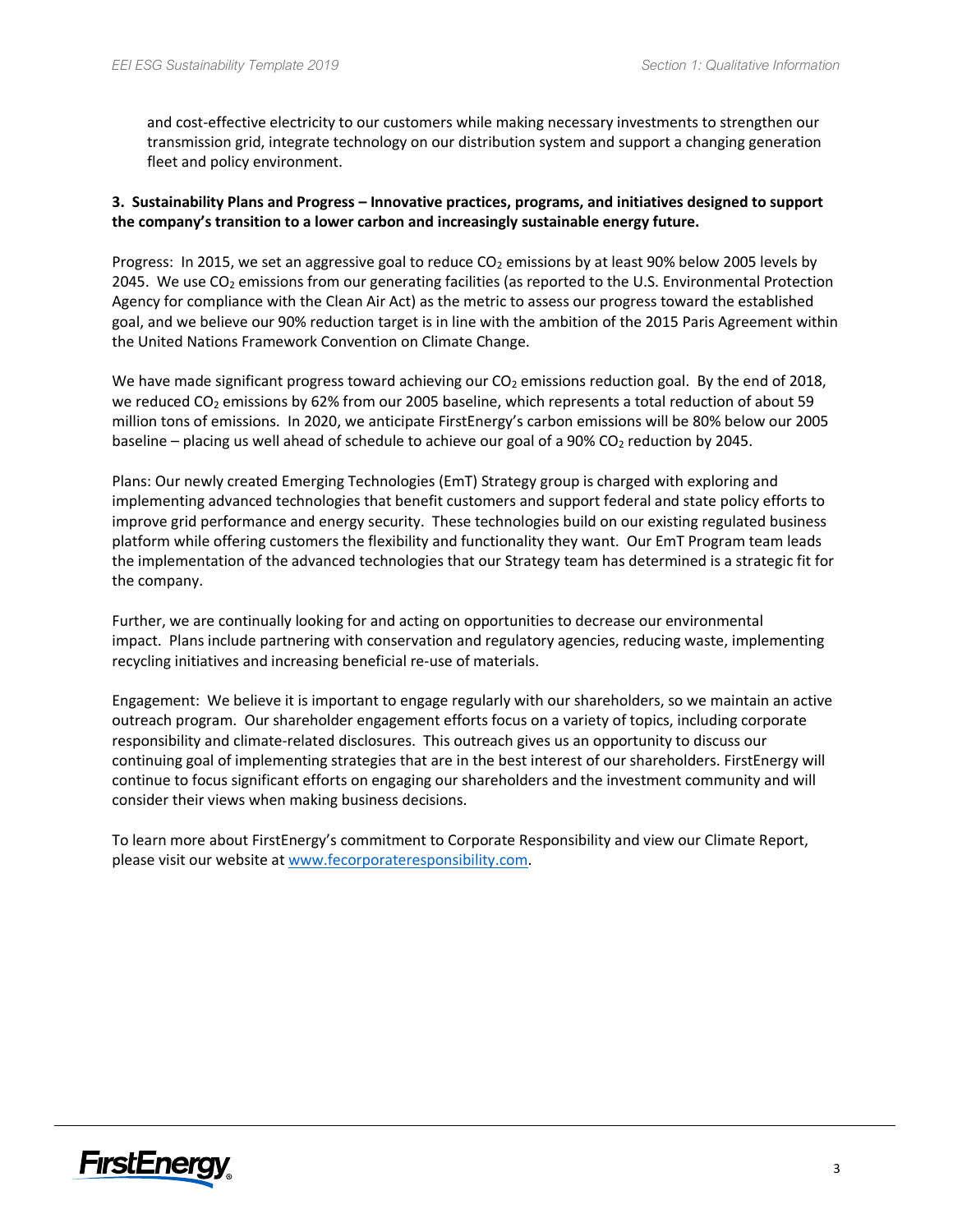and cost-effective electricity to our customers while making necessary investments to strengthen our transmission grid, integrate technology on our distribution system and support a changing generation fleet and policy environment.

### **3. Sustainability Plans and Progress – Innovative practices, programs, and initiatives designed to support the company's transition to a lower carbon and increasingly sustainable energy future.**

Progress: In 2015, we set an aggressive goal to reduce  $CO<sub>2</sub>$  emissions by at least 90% below 2005 levels by 2045. We use  $CO<sub>2</sub>$  emissions from our generating facilities (as reported to the U.S. Environmental Protection Agency for compliance with the Clean Air Act) as the metric to assess our progress toward the established goal, and we believe our 90% reduction target is in line with the ambition of the 2015 Paris Agreement within the United Nations Framework Convention on Climate Change.

We have made significant progress toward achieving our  $CO<sub>2</sub>$  emissions reduction goal. By the end of 2018, we reduced CO<sub>2</sub> emissions by 62% from our 2005 baseline, which represents a total reduction of about 59 million tons of emissions. In 2020, we anticipate FirstEnergy's carbon emissions will be 80% below our 2005 baseline – placing us well ahead of schedule to achieve our goal of a  $90\%$  CO<sub>2</sub> reduction by 2045.

Plans: Our newly created Emerging Technologies (EmT) Strategy group is charged with exploring and implementing advanced technologies that benefit customers and support federal and state policy efforts to improve grid performance and energy security. These technologies build on our existing regulated business platform while offering customers the flexibility and functionality they want. Our EmT Program team leads the implementation of the advanced technologies that our Strategy team has determined is a strategic fit for the company.

Further, we are continually looking for and acting on opportunities to decrease our environmental impact. Plans include partnering with conservation and regulatory agencies, reducing waste, implementing recycling initiatives and increasing beneficial re-use of materials.

Engagement: We believe it is important to engage regularly with our shareholders, so we maintain an active outreach program. Our shareholder engagement efforts focus on a variety of topics, including corporate responsibility and climate-related disclosures. This outreach gives us an opportunity to discuss our continuing goal of implementing strategies that are in the best interest of our shareholders. FirstEnergy will continue to focus significant efforts on engaging our shareholders and the investment community and will consider their views when making business decisions.

To learn more about FirstEnergy's commitment to Corporate Responsibility and view our Climate Report, please visit our website a[t www.fecorporateresponsibility.com.](http://www.fecorporateresponsibility.com/)

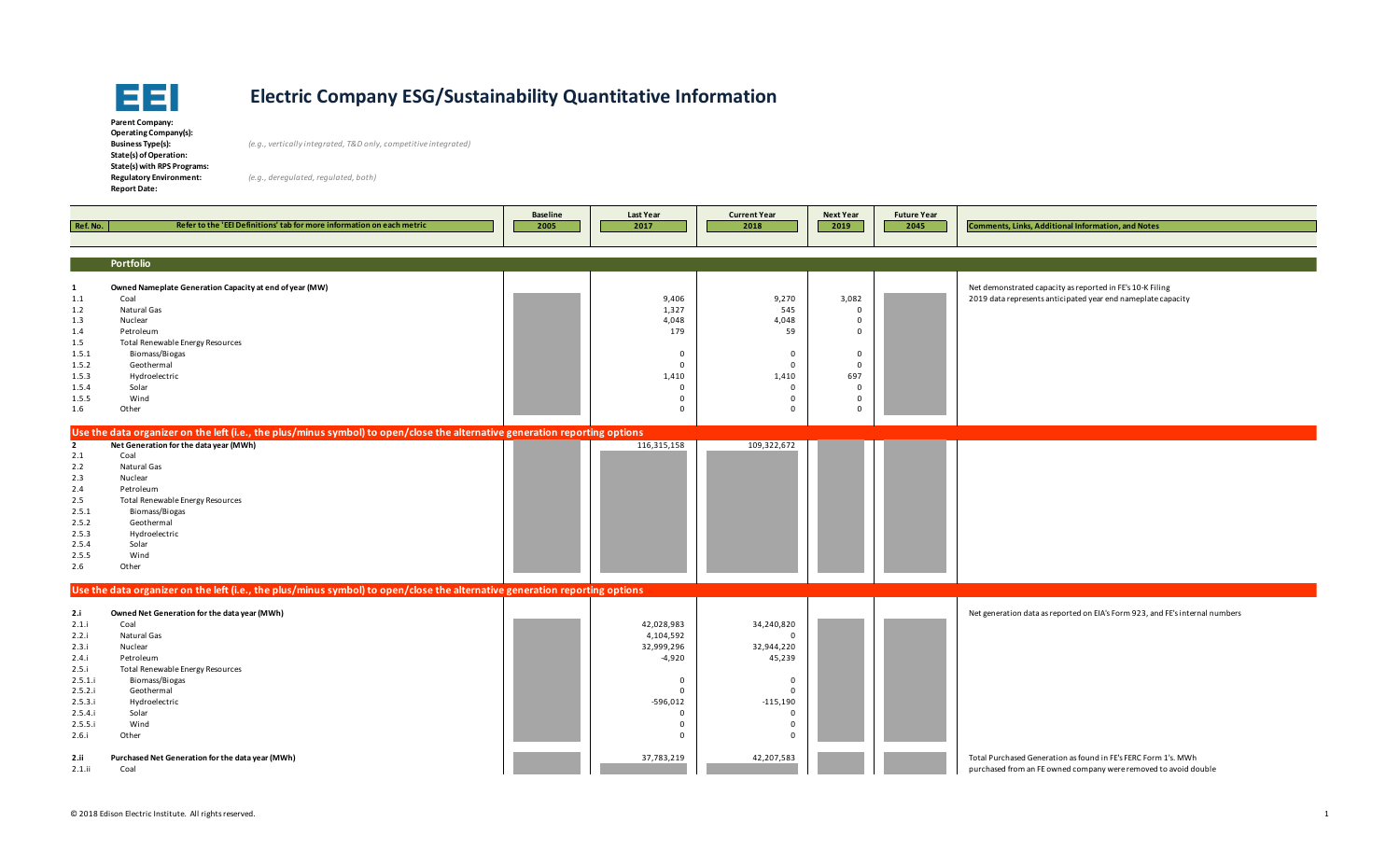

**Parent Company: Operating Company(s): State(s) of Operation: State(s) with RPS Programs: Report Date:** 

**Business Type(s):** *(e.g., vertically integrated, T&D only, competitive integrated)*

| Ref. No.     | Refer to the 'EEI Definitions' tab for more information on each metric                                                      | <b>Baseline</b><br>2005 | <b>Last Year</b><br>2017 | <b>Current Year</b><br>2018 | <b>Next Year</b><br>2019 | <b>Future Year</b><br>2045 | <b>Comments, Links, Additional Information, and Notes</b>                    |
|--------------|-----------------------------------------------------------------------------------------------------------------------------|-------------------------|--------------------------|-----------------------------|--------------------------|----------------------------|------------------------------------------------------------------------------|
|              |                                                                                                                             |                         |                          |                             |                          |                            |                                                                              |
|              |                                                                                                                             |                         |                          |                             |                          |                            |                                                                              |
|              | Portfolio                                                                                                                   |                         |                          |                             |                          |                            |                                                                              |
| 1            | Owned Nameplate Generation Capacity at end of year (MW)                                                                     |                         |                          |                             |                          |                            | Net demonstrated capacity as reported in FE's 10-K Filing                    |
| 1.1          | Coal                                                                                                                        |                         | 9,406                    | 9,270                       | 3,082                    |                            | 2019 data represents anticipated year end nameplate capacity                 |
| 1.2          | Natural Gas                                                                                                                 |                         | 1,327                    | 545                         | $\mathbf 0$              |                            |                                                                              |
| 1.3          | Nuclear                                                                                                                     |                         | 4,048                    | 4,048                       | $\mathbf{0}$             |                            |                                                                              |
| 1.4          | Petroleum                                                                                                                   |                         | 179                      | 59                          | $\mathbf{0}$             |                            |                                                                              |
| 1.5          | Total Renewable Energy Resources                                                                                            |                         |                          |                             |                          |                            |                                                                              |
| 1.5.1        | Biomass/Biogas                                                                                                              |                         | $\mathbf 0$              | 0                           | $\mathbf 0$              |                            |                                                                              |
| 1.5.2        | Geothermal                                                                                                                  |                         | $\Omega$                 | $\Omega$                    | $\Omega$                 |                            |                                                                              |
| 1.5.3        | Hydroelectric                                                                                                               |                         | 1,410                    | 1,410                       | 697                      |                            |                                                                              |
| 1.5.4        | Solar                                                                                                                       |                         | $\mathbf 0$              | $\mathbf 0$                 | $\mathbf 0$              |                            |                                                                              |
| 1.5.5        | Wind                                                                                                                        |                         | $\mathbf 0$              | $\Omega$                    | $\Omega$                 |                            |                                                                              |
| 1.6          | Other                                                                                                                       |                         | $\mathbf 0$              | 0                           | $\mathbf{0}$             |                            |                                                                              |
|              | Use the data organizer on the left (i.e., the plus/minus symbol) to open/close the alternative generation reporting options |                         |                          |                             |                          |                            |                                                                              |
| $\mathbf{2}$ | Net Generation for the data year (MWh)                                                                                      |                         | 116,315,158              | 109,322,672                 |                          |                            |                                                                              |
| 2.1          | Coal                                                                                                                        |                         |                          |                             |                          |                            |                                                                              |
| 2.2          | Natural Gas                                                                                                                 |                         |                          |                             |                          |                            |                                                                              |
| 2.3          | Nuclear                                                                                                                     |                         |                          |                             |                          |                            |                                                                              |
| 2.4          | Petroleum                                                                                                                   |                         |                          |                             |                          |                            |                                                                              |
| 2.5          | Total Renewable Energy Resources                                                                                            |                         |                          |                             |                          |                            |                                                                              |
| 2.5.1        | Biomass/Biogas                                                                                                              |                         |                          |                             |                          |                            |                                                                              |
| 2.5.2        | Geothermal                                                                                                                  |                         |                          |                             |                          |                            |                                                                              |
| 2.5.3        | Hydroelectric                                                                                                               |                         |                          |                             |                          |                            |                                                                              |
| 2.5.4        | Solar                                                                                                                       |                         |                          |                             |                          |                            |                                                                              |
| 2.5.5        | Wind                                                                                                                        |                         |                          |                             |                          |                            |                                                                              |
| 2.6          | Other                                                                                                                       |                         |                          |                             |                          |                            |                                                                              |
|              | Use the data organizer on the left (i.e., the plus/minus symbol) to open/close the alternative generation reporting options |                         |                          |                             |                          |                            |                                                                              |
| 2.i          | Owned Net Generation for the data year (MWh)                                                                                |                         |                          |                             |                          |                            | Net generation data as reported on EIA's Form 923, and FE's internal numbers |
| 2.1.i        | Coal                                                                                                                        |                         | 42,028,983               | 34,240,820                  |                          |                            |                                                                              |
| 2.2.i        | Natural Gas                                                                                                                 |                         | 4,104,592                | $\Omega$                    |                          |                            |                                                                              |
| 2.3.i        | Nuclear                                                                                                                     |                         | 32,999,296               | 32,944,220                  |                          |                            |                                                                              |
| 2.4.i        | Petroleum                                                                                                                   |                         | $-4,920$                 | 45,239                      |                          |                            |                                                                              |
| 2.5.i        | Total Renewable Energy Resources                                                                                            |                         |                          |                             |                          |                            |                                                                              |
| 2.5.1.i      | Biomass/Biogas                                                                                                              |                         | $\mathbf 0$              | $\mathbf{0}$                |                          |                            |                                                                              |
| 2.5.2.i      | Geothermal                                                                                                                  |                         | $\Omega$                 | $\Omega$                    |                          |                            |                                                                              |
| 2.5.3.i      | Hydroelectric                                                                                                               |                         | $-596,012$               | $-115,190$                  |                          |                            |                                                                              |
| 2.5.4.i      | Solar                                                                                                                       |                         | $\mathbf 0$              | $\mathbf 0$                 |                          |                            |                                                                              |
| 2.5.5.i      | Wind                                                                                                                        |                         | $\mathbf 0$              | $\Omega$                    |                          |                            |                                                                              |
| 2.6.i        | Other                                                                                                                       |                         | $\Omega$                 | $\Omega$                    |                          |                            |                                                                              |
| 2.11         | Purchased Net Generation for the data year (MWh)                                                                            |                         | 37,783,219               | 42,207,583                  |                          |                            | Total Purchased Generation as found in FE's FERC Form 1's. MWh               |
| 2.1.ii       | Coal                                                                                                                        |                         |                          |                             |                          |                            | purchased from an FE owned company were removed to avoid double              |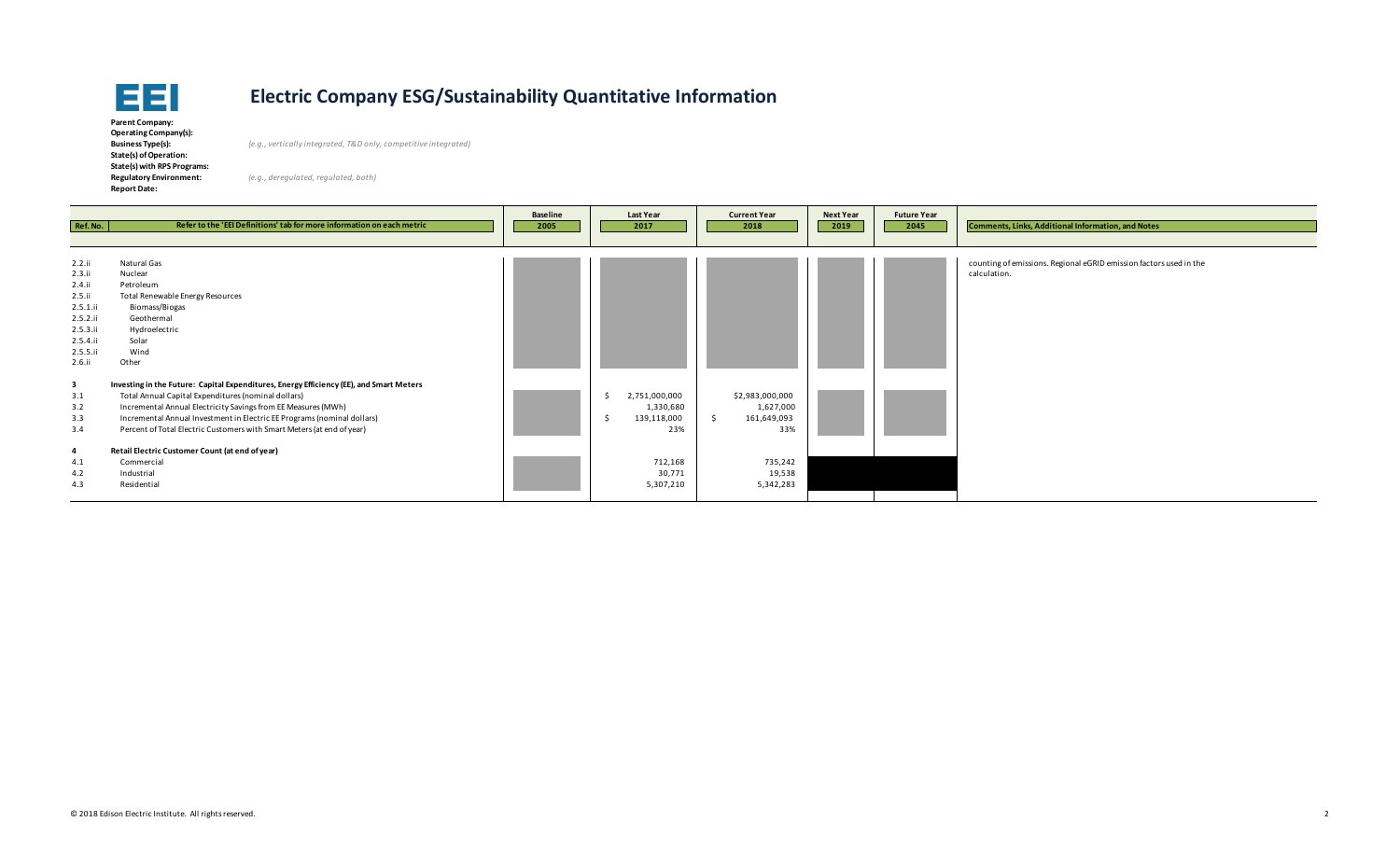

**Parent Company: Operating Company(s): State(s) of Operation: State(s) with RPS Programs: Report Date:** 

**Business Type(s):** *(e.g., vertically integrated, T&D only, competitive integrated)*

| Ref. No.                                                                                                   | Refer to the 'EEI Definitions' tab for more information on each metric                                                                                                                                                                                                                                                                                                                                                                                             | <b>Baseline</b><br>2005 | <b>Last Year</b><br>2017                                                           | <b>Current Year</b><br>2018                                                          | <b>Next Year</b><br>2019 | <b>Future Year</b><br>2045 | <b>Comments, Links, Additional Information, and Notes</b>                          |
|------------------------------------------------------------------------------------------------------------|--------------------------------------------------------------------------------------------------------------------------------------------------------------------------------------------------------------------------------------------------------------------------------------------------------------------------------------------------------------------------------------------------------------------------------------------------------------------|-------------------------|------------------------------------------------------------------------------------|--------------------------------------------------------------------------------------|--------------------------|----------------------------|------------------------------------------------------------------------------------|
| 2.2.1i<br>2.3.ii<br>2.4.ii<br>2.5.1i<br>2.5.1.ii<br>2.5.2.1i<br>2.5.3.ii<br>2.5.4.ii<br>2.5.5.ii<br>2.6.11 | Natural Gas<br>Nuclear<br>Petroleum<br>Total Renewable Energy Resources<br>Biomass/Biogas<br>Geothermal<br>Hydroelectric<br>Solar<br>Wind<br>Other                                                                                                                                                                                                                                                                                                                 |                         |                                                                                    |                                                                                      |                          |                            | counting of emissions. Regional eGRID emission factors used in the<br>calculation. |
| $\overline{\mathbf{3}}$<br>3.1<br>3.2<br>3.3<br>3.4<br>$\overline{a}$<br>4.1<br>4.2<br>4.3                 | Investing in the Future: Capital Expenditures, Energy Efficiency (EE), and Smart Meters<br>Total Annual Capital Expenditures (nominal dollars)<br>Incremental Annual Electricity Savings from EE Measures (MWh)<br>Incremental Annual Investment in Electric EE Programs (nominal dollars)<br>Percent of Total Electric Customers with Smart Meters (at end of year)<br>Retail Electric Customer Count (at end of year)<br>Commercial<br>Industrial<br>Residential |                         | 2,751,000,000<br>1,330,680<br>139,118,000<br>23%<br>712,168<br>30,771<br>5,307,210 | \$2,983,000,000<br>1,627,000<br>161,649,093<br>33%<br>735,242<br>19,538<br>5,342,283 |                          |                            |                                                                                    |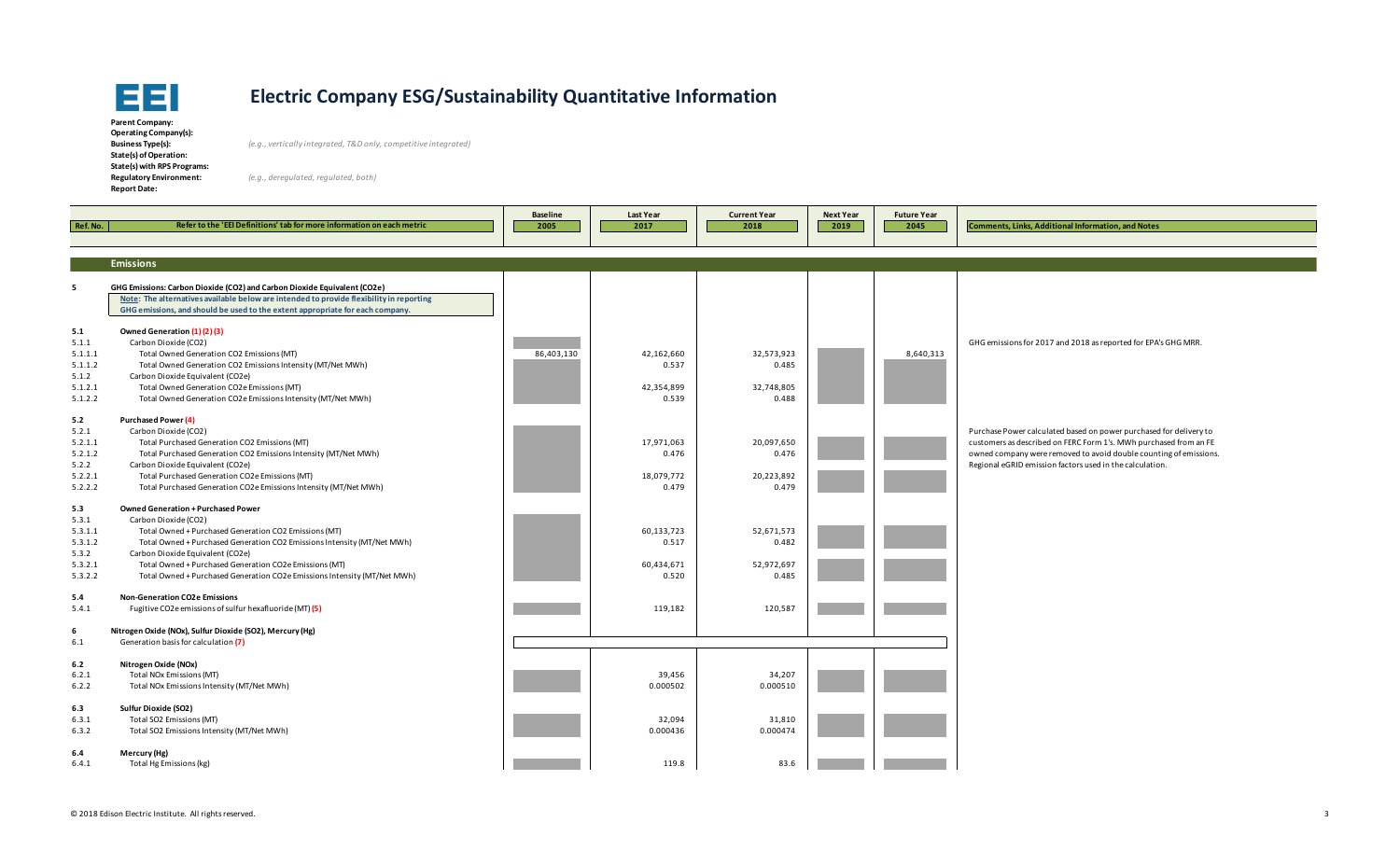

**Parent Company: Operating Company(s): State(s) of Operation: State(s) with RPS Programs: Report Date:** 

**Business Type(s):** *(e.g., vertically integrated, T&D only, competitive integrated)*

| Ref. No.                                                          | Refer to the 'EEI Definitions' tab for more information on each metric                                                                                                                                                                                                                                                                                                   | <b>Baseline</b><br>2005 | <b>Last Year</b><br>2017                   | <b>Current Year</b><br>2018                | <b>Next Year</b><br>2019 | <b>Future Year</b><br>2045 | <b>Comments, Links, Additional Information, and Notes</b>                                                                                                                                                                                                                |
|-------------------------------------------------------------------|--------------------------------------------------------------------------------------------------------------------------------------------------------------------------------------------------------------------------------------------------------------------------------------------------------------------------------------------------------------------------|-------------------------|--------------------------------------------|--------------------------------------------|--------------------------|----------------------------|--------------------------------------------------------------------------------------------------------------------------------------------------------------------------------------------------------------------------------------------------------------------------|
|                                                                   | <b>Emissions</b>                                                                                                                                                                                                                                                                                                                                                         |                         |                                            |                                            |                          |                            |                                                                                                                                                                                                                                                                          |
| 5                                                                 | GHG Emissions: Carbon Dioxide (CO2) and Carbon Dioxide Equivalent (CO2e)<br>Note: The alternatives available below are intended to provide flexibility in reporting<br>GHG emissions, and should be used to the extent appropriate for each company.                                                                                                                     |                         |                                            |                                            |                          |                            |                                                                                                                                                                                                                                                                          |
| 5.1<br>5.1.1<br>5.1.1.1<br>5.1.1.2<br>5.1.2<br>5.1.2.1<br>5.1.2.2 | Owned Generation (1)(2)(3)<br>Carbon Dioxide (CO2)<br>Total Owned Generation CO2 Emissions (MT)<br>Total Owned Generation CO2 Emissions Intensity (MT/Net MWh)<br>Carbon Dioxide Equivalent (CO2e)<br>Total Owned Generation CO2e Emissions (MT)<br>Total Owned Generation CO2e Emissions Intensity (MT/Net MWh)                                                         | 86,403,130              | 42,162,660<br>0.537<br>42,354,899<br>0.539 | 32,573,923<br>0.485<br>32,748,805<br>0.488 |                          | 8,640,313                  | GHG emissions for 2017 and 2018 as reported for EPA's GHG MRR.                                                                                                                                                                                                           |
| 5.2<br>5.2.1<br>5.2.1.1<br>5.2.1.2<br>5.2.2<br>5.2.2.1<br>5.2.2.2 | Purchased Power (4)<br>Carbon Dioxide (CO2)<br>Total Purchased Generation CO2 Emissions (MT)<br>Total Purchased Generation CO2 Emissions Intensity (MT/Net MWh)<br>Carbon Dioxide Equivalent (CO2e)<br>Total Purchased Generation CO2e Emissions (MT)<br>Total Purchased Generation CO2e Emissions Intensity (MT/Net MWh)                                                |                         | 17,971,063<br>0.476<br>18,079,772<br>0.479 | 20,097,650<br>0.476<br>20,223,892<br>0.479 |                          |                            | Purchase Power calculated based on power purchased for delivery to<br>customers as described on FERC Form 1's. MWh purchased from an FE<br>owned company were removed to avoid double counting of emissions.<br>Regional eGRID emission factors used in the calculation. |
| 5.3<br>5.3.1<br>5.3.1.1<br>5.3.1.2<br>5.3.2<br>5.3.2.1<br>5.3.2.2 | Owned Generation + Purchased Power<br>Carbon Dioxide (CO2)<br>Total Owned + Purchased Generation CO2 Emissions (MT)<br>Total Owned + Purchased Generation CO2 Emissions Intensity (MT/Net MWh)<br>Carbon Dioxide Equivalent (CO2e)<br>Total Owned + Purchased Generation CO2e Emissions (MT)<br>Total Owned + Purchased Generation CO2e Emissions Intensity (MT/Net MWh) |                         | 60,133,723<br>0.517<br>60,434,671<br>0.520 | 52,671,573<br>0.482<br>52,972,697<br>0.485 |                          |                            |                                                                                                                                                                                                                                                                          |
| 5.4<br>5.4.1                                                      | <b>Non-Generation CO2e Emissions</b><br>Fugitive CO2e emissions of sulfur hexafluoride (MT) (5)                                                                                                                                                                                                                                                                          |                         | 119,182                                    | 120,587                                    |                          |                            |                                                                                                                                                                                                                                                                          |
| -6<br>6.1                                                         | Nitrogen Oxide (NOx), Sulfur Dioxide (SO2), Mercury (Hg)<br>Generation basis for calculation (7)                                                                                                                                                                                                                                                                         |                         |                                            |                                            |                          |                            |                                                                                                                                                                                                                                                                          |
| 6.2<br>6.2.1<br>6.2.2                                             | Nitrogen Oxide (NOx)<br>Total NOx Emissions (MT)<br>Total NOx Emissions Intensity (MT/Net MWh)                                                                                                                                                                                                                                                                           |                         | 39,456<br>0.000502                         | 34,207<br>0.000510                         |                          |                            |                                                                                                                                                                                                                                                                          |
| 6.3<br>6.3.1<br>6.3.2                                             | Sulfur Dioxide (SO2)<br>Total SO2 Emissions (MT)<br>Total SO2 Emissions Intensity (MT/Net MWh)                                                                                                                                                                                                                                                                           |                         | 32,094<br>0.000436                         | 31,810<br>0.000474                         |                          |                            |                                                                                                                                                                                                                                                                          |
| 6.4<br>6.4.1                                                      | Mercury (Hg)<br>Total Hg Emissions (kg)                                                                                                                                                                                                                                                                                                                                  |                         | 119.8                                      | 83.6                                       |                          |                            |                                                                                                                                                                                                                                                                          |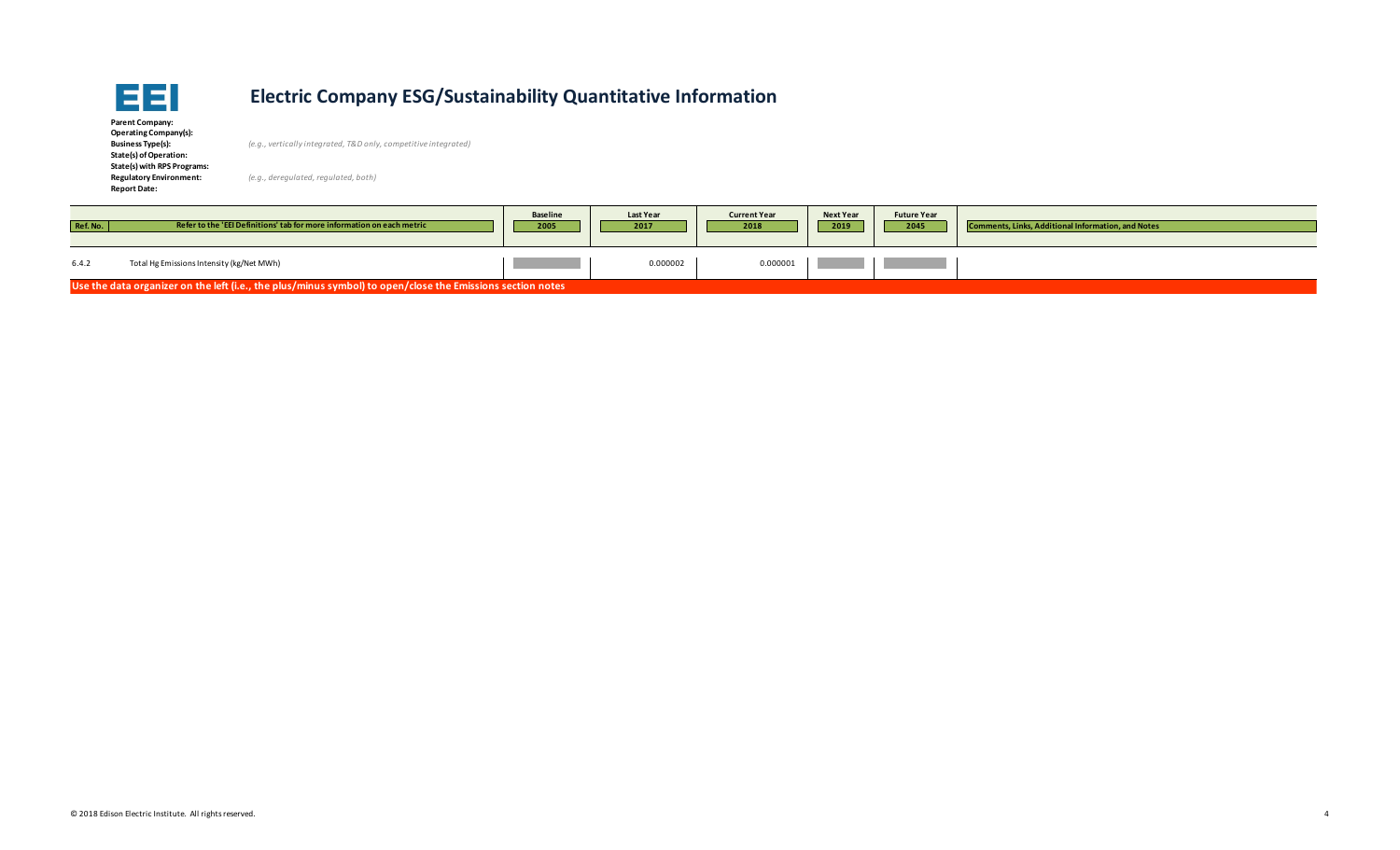

| Parent Company:                |
|--------------------------------|
| Operating Company(s):          |
| <b>Business Type(s):</b>       |
| State(s) of Operation:         |
| State(s) with RPS Programs:    |
| <b>Regulatory Environment:</b> |
| <b>Report Date:</b>            |

**Business Type(s):** *(e.g., vertically integrated, T&D only, competitive integrated)*

| Ref. No.                                                                                                   | Refer to the 'EEI Definitions' tab for more information on each metric | <b>Baseline</b><br>2005 | <b>Last Year</b><br>2017 | <b>Current Year</b><br>2018 | <b>Next Year</b><br>2019 | <b>Future Year</b><br>2045 | <b>Comments, Links, Additional Information, and Notes</b> |
|------------------------------------------------------------------------------------------------------------|------------------------------------------------------------------------|-------------------------|--------------------------|-----------------------------|--------------------------|----------------------------|-----------------------------------------------------------|
| 6.4.2                                                                                                      | Total Hg Emissions Intensity (kg/Net MWh)                              |                         | 0.000002                 | 0.000001                    |                          |                            |                                                           |
| Use the data organizer on the left (i.e., the plus/minus symbol) to open/close the Emissions section notes |                                                                        |                         |                          |                             |                          |                            |                                                           |